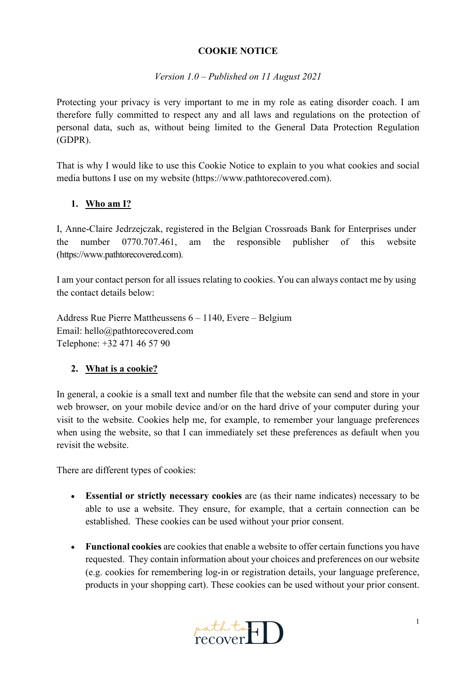#### **COOKIE NOTICE**

#### *Version 1.0 – Published on 11 August 2021*

Protecting your privacy is very important to me in my role as eating disorder coach. I am therefore fully committed to respect any and all laws and regulations on the protection of personal data, such as, without being limited to the General Data Protection Regulation (GDPR).

That is why I would like to use this Cookie Notice to explain to you what cookies and social media buttons I use on my website (https://www.pathtorecovered.com).

#### **1. Who am I?**

I, Anne-Claire Jedrzejczak, registered in the Belgian Crossroads Bank for Enterprises under the number 0770.707.461, am the responsible publisher of this website (https://www.pathtorecovered.com).

I am your contact person for all issues relating to cookies. You can always contact me by using the contact details below:

Address Rue Pierre Mattheussens 6 – 1140, Evere – Belgium Email: hello@pathtorecovered.com Telephone: +32 471 46 57 90

### **2. What is a cookie?**

In general, a cookie is a small text and number file that the website can send and store in your web browser, on your mobile device and/or on the hard drive of your computer during your visit to the website. Cookies help me, for example, to remember your language preferences when using the website, so that I can immediately set these preferences as default when you revisit the website.

There are different types of cookies:

- **Essential or strictly necessary cookies** are (as their name indicates) necessary to be able to use a website. They ensure, for example, that a certain connection can be established. These cookies can be used without your prior consent.
- **Functional cookies** are cookies that enable a website to offer certain functions you have requested. They contain information about your choices and preferences on our website (e.g. cookies for remembering log-in or registration details, your language preference, products in your shopping cart). These cookies can be used without your prior consent.

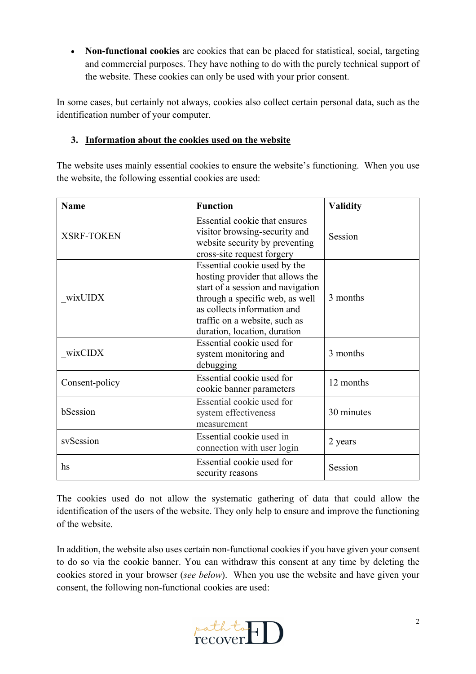• **Non-functional cookies** are cookies that can be placed for statistical, social, targeting and commercial purposes. They have nothing to do with the purely technical support of the website. These cookies can only be used with your prior consent.

In some cases, but certainly not always, cookies also collect certain personal data, such as the identification number of your computer.

### **3. Information about the cookies used on the website**

The website uses mainly essential cookies to ensure the website's functioning. When you use the website, the following essential cookies are used:

| <b>Name</b>       | <b>Function</b>                                                                                                                                                                                                                          | <b>Validity</b> |
|-------------------|------------------------------------------------------------------------------------------------------------------------------------------------------------------------------------------------------------------------------------------|-----------------|
| <b>XSRF-TOKEN</b> | Essential cookie that ensures<br>visitor browsing-security and<br>website security by preventing<br>cross-site request forgery                                                                                                           | Session         |
| wixUIDX           | Essential cookie used by the<br>hosting provider that allows the<br>start of a session and navigation<br>through a specific web, as well<br>as collects information and<br>traffic on a website, such as<br>duration, location, duration | 3 months        |
| wixCIDX           | Essential cookie used for<br>system monitoring and<br>debugging                                                                                                                                                                          | 3 months        |
| Consent-policy    | Essential cookie used for<br>cookie banner parameters                                                                                                                                                                                    | 12 months       |
| bSession          | Essential cookie used for<br>system effectiveness<br>measurement                                                                                                                                                                         | 30 minutes      |
| svSession         | Essential cookie used in<br>connection with user login                                                                                                                                                                                   | 2 years         |
| hs                | Essential cookie used for<br>security reasons                                                                                                                                                                                            | Session         |

The cookies used do not allow the systematic gathering of data that could allow the identification of the users of the website. They only help to ensure and improve the functioning of the website.

In addition, the website also uses certain non-functional cookies if you have given your consent to do so via the cookie banner. You can withdraw this consent at any time by deleting the cookies stored in your browser (*see below*). When you use the website and have given your consent, the following non-functional cookies are used:

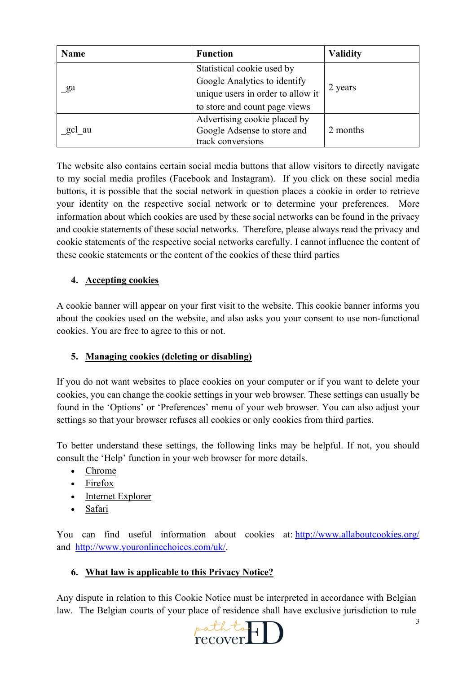| <b>Name</b> | <b>Function</b>                   | <b>Validity</b> |
|-------------|-----------------------------------|-----------------|
| ga          | Statistical cookie used by        | 2 years         |
|             | Google Analytics to identify      |                 |
|             | unique users in order to allow it |                 |
|             | to store and count page views     |                 |
| gcl au      | Advertising cookie placed by      |                 |
|             | Google Adsense to store and       | 2 months        |
|             | track conversions                 |                 |

The website also contains certain social media buttons that allow visitors to directly navigate to my social media profiles (Facebook and Instagram). If you click on these social media buttons, it is possible that the social network in question places a cookie in order to retrieve your identity on the respective social network or to determine your preferences. More information about which cookies are used by these social networks can be found in the privacy and cookie statements of these social networks. Therefore, please always read the privacy and cookie statements of the respective social networks carefully. I cannot influence the content of these cookie statements or the content of the cookies of these third parties

# **4. Accepting cookies**

A cookie banner will appear on your first visit to the website. This cookie banner informs you about the cookies used on the website, and also asks you your consent to use non-functional cookies. You are free to agree to this or not.

## **5. Managing cookies (deleting or disabling)**

If you do not want websites to place cookies on your computer or if you want to delete your cookies, you can change the cookie settings in your web browser. These settings can usually be found in the 'Options' or 'Preferences' menu of your web browser. You can also adjust your settings so that your browser refuses all cookies or only cookies from third parties.

To better understand these settings, the following links may be helpful. If not, you should consult the 'Help' function in your web browser for more details.

- Chrome
- Firefox
- Internet Explorer
- Safari

You can find useful information about cookies at: http://www.allaboutcookies.org/ and http://www.youronlinechoices.com/uk/.

## **6. What law is applicable to this Privacy Notice?**

Any dispute in relation to this Cookie Notice must be interpreted in accordance with Belgian law. The Belgian courts of your place of residence shall have exclusive jurisdiction to rule